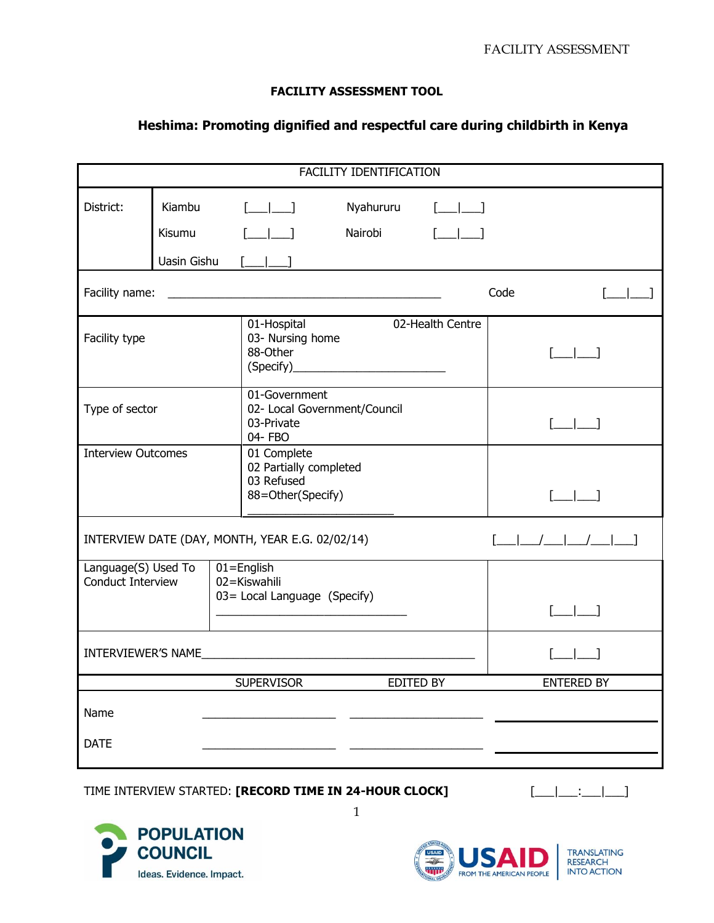## **FACILITY ASSESSMENT TOOL**

## **Heshima: Promoting dignified and respectful care during childbirth in Kenya**

| FACILITY IDENTIFICATION                  |                                                                                                                                                                                                                                                                                                                                                                                                                                                                                                                                                                                                                                                                                                                                                                                 |                                                                                                                                         |                      |                                                                                                                                                                                                                                                                                                                                                                                    |                                       |  |  |  |
|------------------------------------------|---------------------------------------------------------------------------------------------------------------------------------------------------------------------------------------------------------------------------------------------------------------------------------------------------------------------------------------------------------------------------------------------------------------------------------------------------------------------------------------------------------------------------------------------------------------------------------------------------------------------------------------------------------------------------------------------------------------------------------------------------------------------------------|-----------------------------------------------------------------------------------------------------------------------------------------|----------------------|------------------------------------------------------------------------------------------------------------------------------------------------------------------------------------------------------------------------------------------------------------------------------------------------------------------------------------------------------------------------------------|---------------------------------------|--|--|--|
| District:                                | Kiambu<br><b>Kisumu</b><br>Uasin Gishu                                                                                                                                                                                                                                                                                                                                                                                                                                                                                                                                                                                                                                                                                                                                          | $[\underline{\qquad} \underline{\qquad} \underline{\qquad} \underline{\qquad} \underline{\qquad} \underline{\qquad}$<br>$[\_\_\_\_\_\]$ | Nyahururu<br>Nairobi | $\begin{picture}(20,20) \put(0,0){\dashbox{0.5}(5,0){ }} \put(15,0){\dashbox{0.5}(5,0){ }} \put(15,0){\dashbox{0.5}(5,0){ }} \put(15,0){\dashbox{0.5}(5,0){ }} \put(15,0){\dashbox{0.5}(5,0){ }} \put(15,0){\dashbox{0.5}(5,0){ }} \put(15,0){\dashbox{0.5}(5,0){ }} \put(15,0){\dashbox{0.5}(5,0){ }} \put(15,0){\dashbox{0.5}(5,0){ }} \put(15,0){\dashbox{0.5}(5,0){ }}$<br>$[$ |                                       |  |  |  |
| Facility name:                           |                                                                                                                                                                                                                                                                                                                                                                                                                                                                                                                                                                                                                                                                                                                                                                                 | <u> 1989 - Johann Harry Harry Harry Harry Harry Harry Harry Harry Harry Harry Harry Harry Harry Harry Harry Harry</u>                   |                      |                                                                                                                                                                                                                                                                                                                                                                                    | Code                                  |  |  |  |
| Facility type                            |                                                                                                                                                                                                                                                                                                                                                                                                                                                                                                                                                                                                                                                                                                                                                                                 | 02-Health Centre<br>01-Hospital<br>03- Nursing home<br>88-Other                                                                         |                      |                                                                                                                                                                                                                                                                                                                                                                                    | $\begin{bmatrix} 1 & 1 \end{bmatrix}$ |  |  |  |
| Type of sector                           |                                                                                                                                                                                                                                                                                                                                                                                                                                                                                                                                                                                                                                                                                                                                                                                 | 01-Government<br>02- Local Government/Council<br>03-Private<br>04- FBO                                                                  |                      |                                                                                                                                                                                                                                                                                                                                                                                    | $\begin{array}{ccc} \end{array}$      |  |  |  |
| <b>Interview Outcomes</b>                |                                                                                                                                                                                                                                                                                                                                                                                                                                                                                                                                                                                                                                                                                                                                                                                 | 01 Complete<br>02 Partially completed<br>03 Refused<br>88=Other(Specify)                                                                |                      |                                                                                                                                                                                                                                                                                                                                                                                    | $[\_$                                 |  |  |  |
|                                          | $[\underline{\qquad} \underline{\qquad} \underline{\qquad} \underline{\qquad} \underline{\qquad} \underline{\qquad} \underline{\qquad} \underline{\qquad} \underline{\qquad} \underline{\qquad} \underline{\qquad} \underline{\qquad} \underline{\qquad} \underline{\qquad} \underline{\qquad} \underline{\qquad} \underline{\qquad} \underline{\qquad} \underline{\qquad} \underline{\qquad} \underline{\qquad} \underline{\qquad} \underline{\qquad} \underline{\qquad} \underline{\qquad} \underline{\qquad} \underline{\qquad} \underline{\qquad} \underline{\qquad} \underline{\qquad} \underline{\qquad} \underline{\qquad} \underline{\qquad} \underline{\qquad} \underline{\qquad} \underline{\qquad} \underline{\q$<br>INTERVIEW DATE (DAY, MONTH, YEAR E.G. 02/02/14) |                                                                                                                                         |                      |                                                                                                                                                                                                                                                                                                                                                                                    |                                       |  |  |  |
| Language(S) Used To<br>Conduct Interview |                                                                                                                                                                                                                                                                                                                                                                                                                                                                                                                                                                                                                                                                                                                                                                                 | $01 =$ English<br>02=Kiswahili<br>03 = Local Language (Specify)                                                                         |                      |                                                                                                                                                                                                                                                                                                                                                                                    | $\begin{bmatrix} 1 & 1 \end{bmatrix}$ |  |  |  |
|                                          |                                                                                                                                                                                                                                                                                                                                                                                                                                                                                                                                                                                                                                                                                                                                                                                 |                                                                                                                                         |                      |                                                                                                                                                                                                                                                                                                                                                                                    |                                       |  |  |  |
|                                          |                                                                                                                                                                                                                                                                                                                                                                                                                                                                                                                                                                                                                                                                                                                                                                                 | <b>SUPERVISOR</b>                                                                                                                       | EDITED BY            |                                                                                                                                                                                                                                                                                                                                                                                    | <b>ENTERED BY</b>                     |  |  |  |
| Name                                     |                                                                                                                                                                                                                                                                                                                                                                                                                                                                                                                                                                                                                                                                                                                                                                                 |                                                                                                                                         |                      |                                                                                                                                                                                                                                                                                                                                                                                    |                                       |  |  |  |
| <b>DATE</b>                              |                                                                                                                                                                                                                                                                                                                                                                                                                                                                                                                                                                                                                                                                                                                                                                                 |                                                                                                                                         |                      |                                                                                                                                                                                                                                                                                                                                                                                    |                                       |  |  |  |

1

## TIME INTERVIEW STARTED: **[RECORD TIME IN 24-HOUR CLOCK]** [\_\_\_|\_\_\_:\_\_\_|\_\_\_]



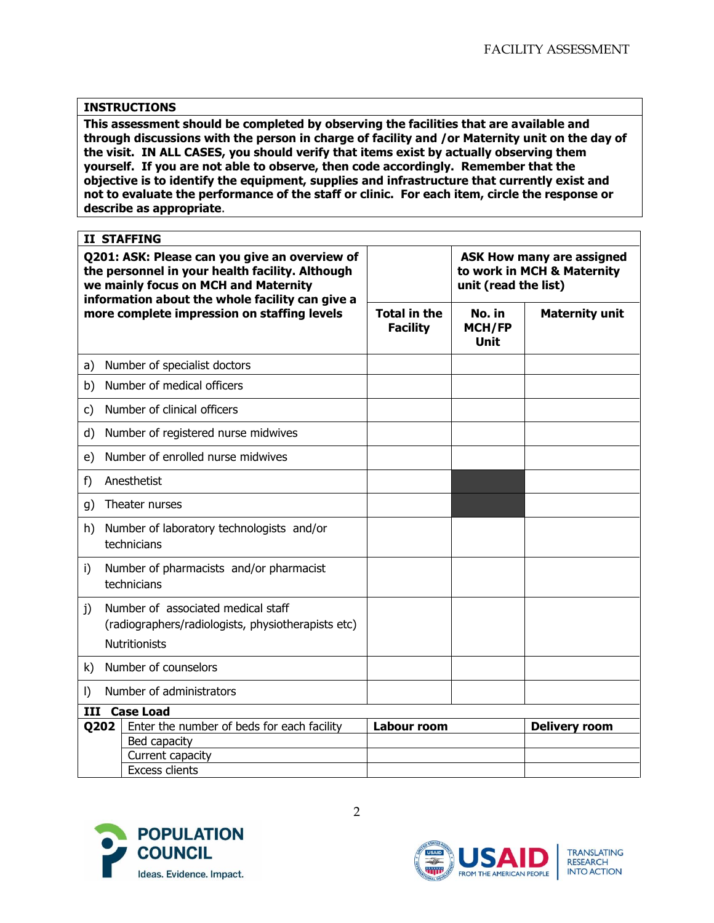## **INSTRUCTIONS**

**This assessment should be completed by observing the facilities that are available and through discussions with the person in charge of facility and /or Maternity unit on the day of the visit. IN ALL CASES, you should verify that items exist by actually observing them yourself. If you are not able to observe, then code accordingly. Remember that the objective is to identify the equipment, supplies and infrastructure that currently exist and not to evaluate the performance of the staff or clinic. For each item, circle the response or describe as appropriate**.

| <b>II STAFFING</b>                                                                                                                                                                          |                                                          |                                        |                                                                                        |                       |  |  |  |
|---------------------------------------------------------------------------------------------------------------------------------------------------------------------------------------------|----------------------------------------------------------|----------------------------------------|----------------------------------------------------------------------------------------|-----------------------|--|--|--|
| Q201: ASK: Please can you give an overview of<br>the personnel in your health facility. Although<br>we mainly focus on MCH and Maternity<br>information about the whole facility can give a |                                                          |                                        | <b>ASK How many are assigned</b><br>to work in MCH & Maternity<br>unit (read the list) |                       |  |  |  |
|                                                                                                                                                                                             | more complete impression on staffing levels              | <b>Total in the</b><br><b>Facility</b> | No. in<br><b>MCH/FP</b><br>Unit                                                        | <b>Maternity unit</b> |  |  |  |
| a)                                                                                                                                                                                          | Number of specialist doctors                             |                                        |                                                                                        |                       |  |  |  |
| b)                                                                                                                                                                                          | Number of medical officers                               |                                        |                                                                                        |                       |  |  |  |
| c)                                                                                                                                                                                          | Number of clinical officers                              |                                        |                                                                                        |                       |  |  |  |
| d)                                                                                                                                                                                          | Number of registered nurse midwives                      |                                        |                                                                                        |                       |  |  |  |
| e)                                                                                                                                                                                          | Number of enrolled nurse midwives                        |                                        |                                                                                        |                       |  |  |  |
| f)                                                                                                                                                                                          | Anesthetist                                              |                                        |                                                                                        |                       |  |  |  |
| g)                                                                                                                                                                                          | Theater nurses                                           |                                        |                                                                                        |                       |  |  |  |
| h)                                                                                                                                                                                          | Number of laboratory technologists and/or<br>technicians |                                        |                                                                                        |                       |  |  |  |
| i)                                                                                                                                                                                          | Number of pharmacists and/or pharmacist<br>technicians   |                                        |                                                                                        |                       |  |  |  |
| Number of associated medical staff<br>j)<br>(radiographers/radiologists, physiotherapists etc)<br><b>Nutritionists</b>                                                                      |                                                          |                                        |                                                                                        |                       |  |  |  |
| Number of counselors<br>k)                                                                                                                                                                  |                                                          |                                        |                                                                                        |                       |  |  |  |
| $\vert$                                                                                                                                                                                     | Number of administrators                                 |                                        |                                                                                        |                       |  |  |  |
| III<br><b>Case Load</b>                                                                                                                                                                     |                                                          |                                        |                                                                                        |                       |  |  |  |
|                                                                                                                                                                                             | Q202<br>Enter the number of beds for each facility       |                                        | <b>Labour room</b>                                                                     | <b>Delivery room</b>  |  |  |  |
|                                                                                                                                                                                             | Bed capacity                                             |                                        |                                                                                        |                       |  |  |  |
|                                                                                                                                                                                             | Current capacity                                         |                                        |                                                                                        |                       |  |  |  |
|                                                                                                                                                                                             | <b>Excess clients</b>                                    |                                        |                                                                                        |                       |  |  |  |



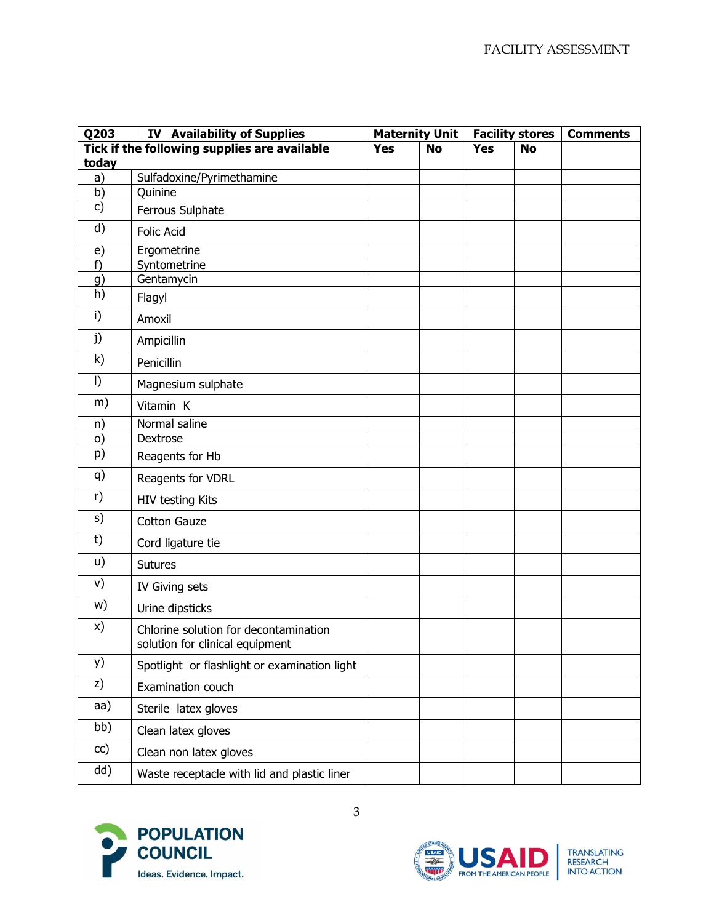| Q203       | <b>IV Availability of Supplies</b>                                       |            | <b>Maternity Unit</b> |            | <b>Facility stores</b> | <b>Comments</b> |
|------------|--------------------------------------------------------------------------|------------|-----------------------|------------|------------------------|-----------------|
|            | Tick if the following supplies are available                             | <b>Yes</b> | <b>No</b>             | <b>Yes</b> | <b>No</b>              |                 |
| today      |                                                                          |            |                       |            |                        |                 |
| a)         | Sulfadoxine/Pyrimethamine                                                |            |                       |            |                        |                 |
| b)<br>c)   | Quinine                                                                  |            |                       |            |                        |                 |
|            | Ferrous Sulphate                                                         |            |                       |            |                        |                 |
| d)         | <b>Folic Acid</b>                                                        |            |                       |            |                        |                 |
| $\epsilon$ | Ergometrine                                                              |            |                       |            |                        |                 |
| f)         | Syntometrine                                                             |            |                       |            |                        |                 |
| g)<br>h)   | Gentamycin                                                               |            |                       |            |                        |                 |
|            | Flagyl                                                                   |            |                       |            |                        |                 |
| i)         | Amoxil                                                                   |            |                       |            |                        |                 |
| j)         | Ampicillin                                                               |            |                       |            |                        |                 |
| k)         | Penicillin                                                               |            |                       |            |                        |                 |
| $\vert$    | Magnesium sulphate                                                       |            |                       |            |                        |                 |
| m)         | Vitamin K                                                                |            |                       |            |                        |                 |
| n)         | Normal saline                                                            |            |                       |            |                        |                 |
| $\circ)$   | Dextrose                                                                 |            |                       |            |                        |                 |
| p)         | Reagents for Hb                                                          |            |                       |            |                        |                 |
| q)         | Reagents for VDRL                                                        |            |                       |            |                        |                 |
| r)         | HIV testing Kits                                                         |            |                       |            |                        |                 |
| s)         | <b>Cotton Gauze</b>                                                      |            |                       |            |                        |                 |
| t)         | Cord ligature tie                                                        |            |                       |            |                        |                 |
| u)         | <b>Sutures</b>                                                           |            |                       |            |                        |                 |
| v)         | IV Giving sets                                                           |            |                       |            |                        |                 |
| w)         | Urine dipsticks                                                          |            |                       |            |                        |                 |
| X)         | Chlorine solution for decontamination<br>solution for clinical equipment |            |                       |            |                        |                 |
| y)         | Spotlight or flashlight or examination light                             |            |                       |            |                        |                 |
| z)         | Examination couch                                                        |            |                       |            |                        |                 |
| aa)        | Sterile latex gloves                                                     |            |                       |            |                        |                 |
| bb)        | Clean latex gloves                                                       |            |                       |            |                        |                 |
| cc)        | Clean non latex gloves                                                   |            |                       |            |                        |                 |
| dd)        | Waste receptacle with lid and plastic liner                              |            |                       |            |                        |                 |



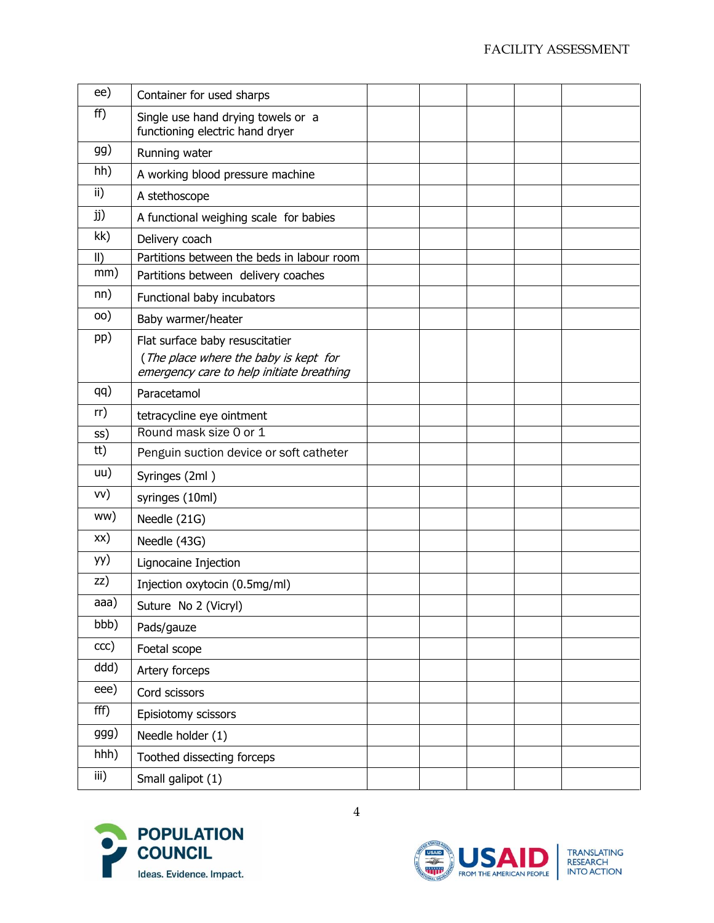| ee)         | Container for used sharps                                                                                             |  |  |  |
|-------------|-----------------------------------------------------------------------------------------------------------------------|--|--|--|
| ff)         | Single use hand drying towels or a<br>functioning electric hand dryer                                                 |  |  |  |
| gg)         | Running water                                                                                                         |  |  |  |
| hh)         | A working blood pressure machine                                                                                      |  |  |  |
| ii)         | A stethoscope                                                                                                         |  |  |  |
| jj)         | A functional weighing scale for babies                                                                                |  |  |  |
| kk)         | Delivery coach                                                                                                        |  |  |  |
| $\parallel$ | Partitions between the beds in labour room                                                                            |  |  |  |
| mm)         | Partitions between delivery coaches                                                                                   |  |  |  |
| nn)         | Functional baby incubators                                                                                            |  |  |  |
| 00)         | Baby warmer/heater                                                                                                    |  |  |  |
| pp)         | Flat surface baby resuscitatier<br>(The place where the baby is kept for<br>emergency care to help initiate breathing |  |  |  |
| qq)         | Paracetamol                                                                                                           |  |  |  |
| rr)         | tetracycline eye ointment                                                                                             |  |  |  |
| SS)         | Round mask size 0 or 1                                                                                                |  |  |  |
| tt)         | Penguin suction device or soft catheter                                                                               |  |  |  |
| uu)         | Syringes (2ml)                                                                                                        |  |  |  |
| vv)         | syringes (10ml)                                                                                                       |  |  |  |
| ww)         | Needle (21G)                                                                                                          |  |  |  |
| xx)         | Needle (43G)                                                                                                          |  |  |  |
| yy)         | Lignocaine Injection                                                                                                  |  |  |  |
| zz)         | Injection oxytocin (0.5mg/ml)                                                                                         |  |  |  |
| aaa)        | Suture No 2 (Vicryl)                                                                                                  |  |  |  |
| bbb)        | Pads/gauze                                                                                                            |  |  |  |
| ccc)        | Foetal scope                                                                                                          |  |  |  |
| ddd)        | Artery forceps                                                                                                        |  |  |  |
| eee)        | Cord scissors                                                                                                         |  |  |  |
| fff)        | Episiotomy scissors                                                                                                   |  |  |  |
| ggg)        | Needle holder (1)                                                                                                     |  |  |  |
| hhh)        | Toothed dissecting forceps                                                                                            |  |  |  |
| iii)        | Small galipot (1)                                                                                                     |  |  |  |